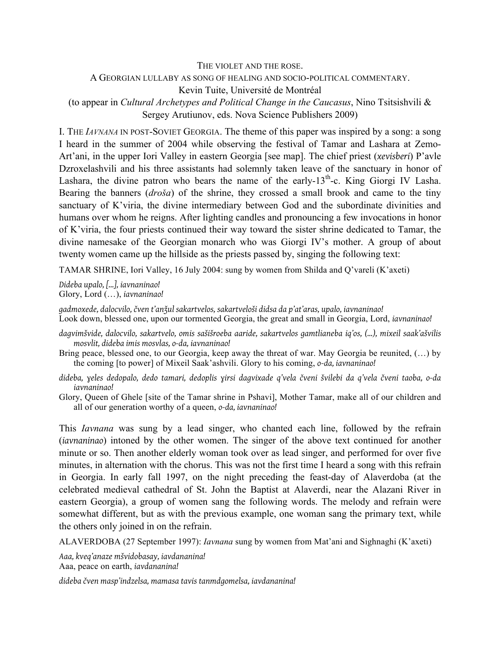### THE VIOLET AND THE ROSE.

## A GEORGIAN LULLABY AS SONG OF HEALING AND SOCIO-POLITICAL COMMENTARY.

Kevin Tuite, Université de Montréal

(to appear in *Cultural Archetypes and Political Change in the Caucasus*, Nino Tsitsishvili & Sergey Arutiunov, eds. Nova Science Publishers 2009)

I. THE *IAVNANA* IN POST-SOVIET GEORGIA. The theme of this paper was inspired by a song: a song I heard in the summer of 2004 while observing the festival of Tamar and Lashara at Zemo-Art'ani, in the upper Iori Valley in eastern Georgia [see map]. The chief priest (*xevisberi*) P'avle Dzroxelashvili and his three assistants had solemnly taken leave of the sanctuary in honor of Lashara, the divine patron who bears the name of the early- $13<sup>th</sup>$ -c. King Giorgi IV Lasha. Bearing the banners (*droša*) of the shrine, they crossed a small brook and came to the tiny sanctuary of K'viria, the divine intermediary between God and the subordinate divinities and humans over whom he reigns. After lighting candles and pronouncing a few invocations in honor of K'viria, the four priests continued their way toward the sister shrine dedicated to Tamar, the divine namesake of the Georgian monarch who was Giorgi IV's mother. A group of about twenty women came up the hillside as the priests passed by, singing the following text:

TAMAR SHRINE, Iori Valley, 16 July 2004: sung by women from Shilda and Q'vareli (K'axeti)

*Dideba upalo, […], iavnaninao!* Glory, Lord (…), *iavnaninao!*

*gadmoxede, dalocvilo, čven t'anǯul sakartvelos, sakartveloši didsa da p'at'aras, upalo, iavnaninao!* Look down, blessed one, upon our tormented Georgia, the great and small in Georgia, Lord, *iavnaninao!*

- *dagvimšvide, dalocvilo, sakartvelo, omis sašišroeba aaride, sakartvelos gamtlianeba iq'os, (…), mixeil saak'ašvilis mosvlit, dideba imis mosvlas, o-da, iavnaninao!*
- Bring peace, blessed one, to our Georgia, keep away the threat of war. May Georgia be reunited, (…) by the coming [to power] of Mixeil Saak'ashvili. Glory to his coming, *o-da, iavnaninao!*
- *dideba, ɣeles dedopalo, dedo tamari, dedoplis ɣirsi dagvixade q'vela čveni švilebi da q'vela čveni taoba, o-da iavnaninao!*

Glory, Queen of Ghele [site of the Tamar shrine in Pshavi], Mother Tamar, make all of our children and all of our generation worthy of a queen, *o-da, iavnaninao!*

This *Iavnana* was sung by a lead singer, who chanted each line, followed by the refrain (*iavnaninao*) intoned by the other women. The singer of the above text continued for another minute or so. Then another elderly woman took over as lead singer, and performed for over five minutes, in alternation with the chorus. This was not the first time I heard a song with this refrain in Georgia. In early fall 1997, on the night preceding the feast-day of Alaverdoba (at the celebrated medieval cathedral of St. John the Baptist at Alaverdi, near the Alazani River in eastern Georgia), a group of women sang the following words. The melody and refrain were somewhat different, but as with the previous example, one woman sang the primary text, while the others only joined in on the refrain.

ALAVERDOBA (27 September 1997): *Iavnana* sung by women from Mat'ani and Sighnaghi (K'axeti)

*Aaa, kveq'anaze mšvidobasay, iavdananina!* Aaa, peace on earth, *iavdananina!*

*dideba čven masp'indzelsa, mamasa tavis tanmdgomelsa, iavdananina!*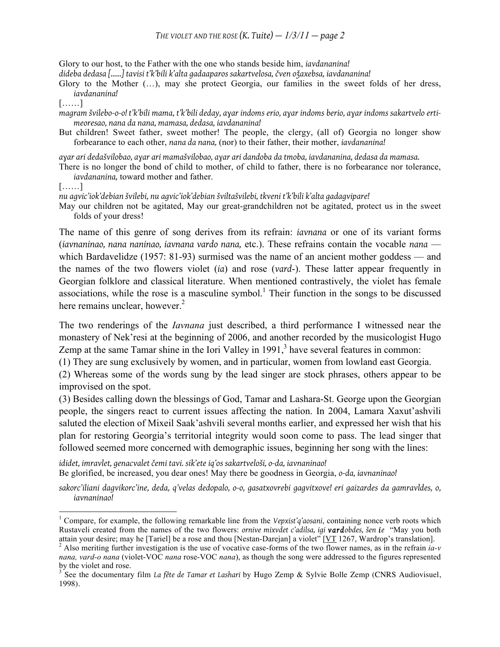Glory to our host, to the Father with the one who stands beside him, *iavdananina!*

*dideba dedasa [……] tavisi t'k'bili k'alta gadaaparos sakartvelosa, čven oǯaxebsa, iavdananina!*

Glory to the Mother (…), may she protect Georgia, our families in the sweet folds of her dress, *iavdananina!*

[……]

*magram švilebo-o-o! t'k'bili mama, t'k'bili deday, aɣar indoms erio, aɣar indoms berio, aɣar indoms sakartvelo ertimeoresao, nana da nana, mamasa, dedasa, iavdananina!*

But children! Sweet father, sweet mother! The people, the clergy, (all of) Georgia no longer show forbearance to each other, *nana da nana,* (nor) to their father, their mother, *iavdananina!*

*aɣar ari dedašvilobao, aɣar ari mamašvilobao, aɣar ari dandoba da tmoba, iavdananina, dedasa da mamasa.*

There is no longer the bond of child to mother, of child to father, there is no forbearance nor tolerance, *iavdananina,* toward mother and father.

[……]

*nu agvic'iok'debian švilebi, nu agvic'iok'debian šviltašvilebi, tkveni t'k'bili k'alta gadagvipare!*

May our children not be agitated, May our great-grandchildren not be agitated, protect us in the sweet folds of your dress!

The name of this genre of song derives from its refrain: *iavnana* or one of its variant forms (*iavnaninao, nana naninao, iavnana vardo nana,* etc.). These refrains contain the vocable *nana* which Bardavelidze (1957: 81-93) surmised was the name of an ancient mother goddess — and the names of the two flowers violet (*ia*) and rose (*vard*-). These latter appear frequently in Georgian folklore and classical literature. When mentioned contrastively, the violet has female associations, while the rose is a masculine symbol.<sup>1</sup> Their function in the songs to be discussed here remains unclear, however.<sup>2</sup>

The two renderings of the *Iavnana* just described, a third performance I witnessed near the monastery of Nek'resi at the beginning of 2006, and another recorded by the musicologist Hugo Zemp at the same Tamar shine in the Iori Valley in  $1991$ ,<sup>3</sup> have several features in common:

(1) They are sung exclusively by women, and in particular, women from lowland east Georgia.

(2) Whereas some of the words sung by the lead singer are stock phrases, others appear to be improvised on the spot.

(3) Besides calling down the blessings of God, Tamar and Lashara-St. George upon the Georgian people, the singers react to current issues affecting the nation. In 2004, Lamara Xaxut'ashvili saluted the election of Mixeil Saak'ashvili several months earlier, and expressed her wish that his plan for restoring Georgia's territorial integrity would soon come to pass. The lead singer that followed seemed more concerned with demographic issues, beginning her song with the lines:

*ididet, imravlet, genacvalet čemi tavi. sik'ete iq'os sakartveloši, o-da, iavnaninao!* Be glorified, be increased, you dear ones! May there be goodness in Georgia, *o-da, iavnaninao!*

*sakorc'iliani dagvikorc'ine, deda, q'velas dedopalo, o-o, gasatxovrebi gagvitxove! eri gaizardes da gamravldes, o, iavnaninao!*

 $\frac{1}{1}$ <sup>1</sup> Compare, for example, the following remarkable line from the *Vepxist'q'aosani*, containing nonce verb roots which Rustaveli created from the names of the two flowers: *ornive mixvdet c'adilsa, igi vardobdes, šen ie* "May you both attain your desire; may he [Tariel] be a rose and thou [Nestan-Darejan] a violet" [ $YT$  1267, Wardrop's translation].<br><sup>2</sup> Also meriting further investigation is the use of vocative case-forms of the two flower names, as i

*nana, vard-o nana* (violet-VOC *nana* rose-VOC *nana*), as though the song were addressed to the figures represented by the violet and rose.

<sup>3</sup> See the documentary film *La fête de Tamar et Lashari* by Hugo Zemp & Sylvie Bolle Zemp (CNRS Audiovisuel, 1998).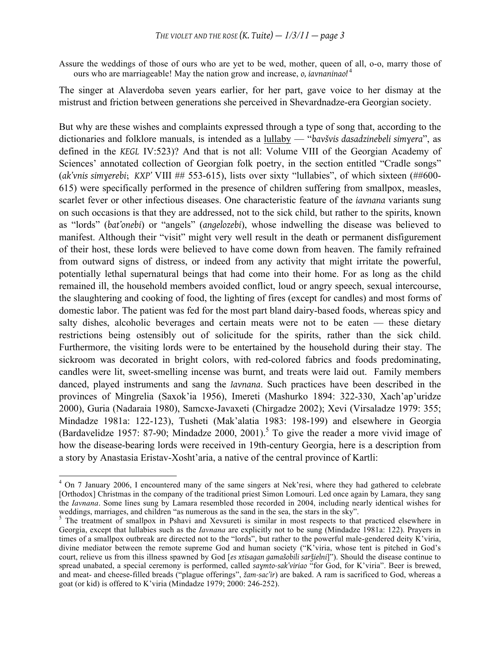Assure the weddings of those of ours who are yet to be wed, mother, queen of all, o-o, marry those of ours who are marriageable! May the nation grow and increase, *o, iavnaninao!* <sup>4</sup>

The singer at Alaverdoba seven years earlier, for her part, gave voice to her dismay at the mistrust and friction between generations she perceived in Shevardnadze-era Georgian society.

But why are these wishes and complaints expressed through a type of song that, according to the dictionaries and folklore manuals, is intended as a lullaby — "*bavšvis dasadzinebeli simɣera*", as defined in the *KEGL* IV:523)? And that is not all: Volume VIII of the Georgian Academy of Sciences' annotated collection of Georgian folk poetry, in the section entitled "Cradle songs" (*ak'vnis simɣerebi*; *KXP'* VIII ## 553-615), lists over sixty "lullabies", of which sixteen (##600- 615) were specifically performed in the presence of children suffering from smallpox, measles, scarlet fever or other infectious diseases. One characteristic feature of the *iavnana* variants sung on such occasions is that they are addressed, not to the sick child, but rather to the spirits, known as "lords" (*bat'onebi*) or "angels" (*angelozebi*), whose indwelling the disease was believed to manifest. Although their "visit" might very well result in the death or permanent disfigurement of their host, these lords were believed to have come down from heaven. The family refrained from outward signs of distress, or indeed from any activity that might irritate the powerful, potentially lethal supernatural beings that had come into their home. For as long as the child remained ill, the household members avoided conflict, loud or angry speech, sexual intercourse, the slaughtering and cooking of food, the lighting of fires (except for candles) and most forms of domestic labor. The patient was fed for the most part bland dairy-based foods, whereas spicy and salty dishes, alcoholic beverages and certain meats were not to be eaten — these dietary restrictions being ostensibly out of solicitude for the spirits, rather than the sick child. Furthermore, the visiting lords were to be entertained by the household during their stay. The sickroom was decorated in bright colors, with red-colored fabrics and foods predominating, candles were lit, sweet-smelling incense was burnt, and treats were laid out. Family members danced, played instruments and sang the *Iavnana*. Such practices have been described in the provinces of Mingrelia (Saxok'ia 1956), Imereti (Mashurko 1894: 322-330, Xach'ap'uridze 2000), Guria (Nadaraia 1980), Samcxe-Javaxeti (Chirgadze 2002); Xevi (Virsaladze 1979: 355; Mindadze 1981a: 122-123), Tusheti (Mak'alatia 1983: 198-199) and elsewhere in Georgia (Bardavelidze 1957: 87-90; Mindadze 2000, 2001).<sup>5</sup> To give the reader a more vivid image of how the disease-bearing lords were received in 19th-century Georgia, here is a description from a story by Anastasia Eristav-Xosht'aria, a native of the central province of Kartli:

 $\frac{1}{4}$ <sup>4</sup> On 7 January 2006, I encountered many of the same singers at Nek'resi, where they had gathered to celebrate [Orthodox] Christmas in the company of the traditional priest Simon Lomouri. Led once again by Lamara, they sang the *Iavnana*. Some lines sung by Lamara resembled those recorded in 2004, including nearly identical wishes for weddings, marriages, and children "as numerous as the sand in the sea, the stars in the sky".<br><sup>5</sup> The treatment of smallpox in Pshavi and Xevsureti is similar in most respects to that practiced elsewhere in

Georgia, except that lullabies such as the *Iavnana* are explicitly not to be sung (Mindadze 1981a: 122). Prayers in times of a smallpox outbreak are directed not to the "lords", but rather to the powerful male-gendered deity K'viria, divine mediator between the remote supreme God and human society ("K'viria, whose tent is pitched in God's court, relieve us from this illness spawned by God [*es xtisagan gamašobili sarǯielni*]"). Should the disease continue to spread unabated, a special ceremony is performed, called *saɣmto-sak'viriao* "for God, for K'viria". Beer is brewed, and meat- and cheese-filled breads ("plague offerings", *žam-sac'ir*) are baked. A ram is sacrificed to God, whereas a goat (or kid) is offered to K'viria (Mindadze 1979; 2000: 246-252).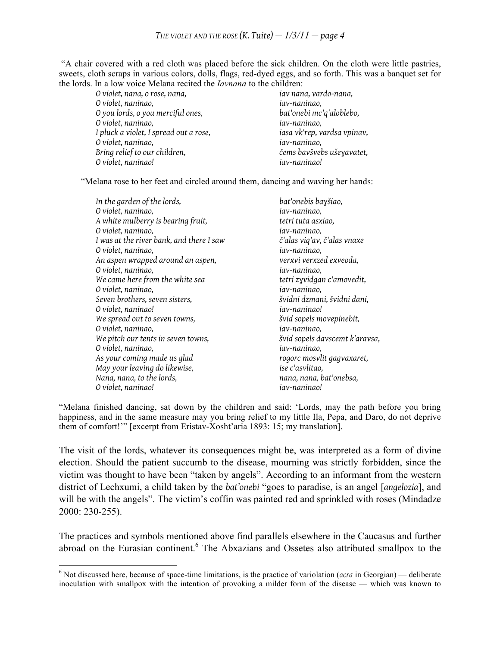"A chair covered with a red cloth was placed before the sick children. On the cloth were little pastries, sweets, cloth scraps in various colors, dolls, flags, red-dyed eggs, and so forth. This was a banquet set for the lords. In a low voice Melana recited the *Iavnana* to the children:

*O violet, nana, o rose, nana, iav nana, vardo-nana, O violet, naninao, iav-naninao, O you lords, o you merciful ones, bat'onebi mc'q'aloblebo, O violet, naninao, iav-naninao, I pluck a violet, I spread out a rose, O violet, naninao, iav-naninao, Bring relief to our children, O violet, naninao! iav-naninao!*

"Melana rose to her feet and circled around them, dancing and waving her hands:

| In the garden of the lords,              | bat'onebis bayšiao,            |
|------------------------------------------|--------------------------------|
| O violet, naninao,                       | iav-naninao,                   |
| A white mulberry is bearing fruit,       | tetri tuta asxiao,             |
| O violet, naninao,                       | iav-naninao,                   |
| I was at the river bank, and there I saw | č'alas viq'av, č'alas vnaxe    |
| O violet, naninao,                       | iav-naninao,                   |
| An aspen wrapped around an aspen,        | verxvi verxzed exveoda,        |
| O violet, naninao,                       | iav-naninao,                   |
| We came here from the white sea          | tetri zyvidgan c'amovedit,     |
| O violet, naninao,                       | iav-naninao,                   |
| Seven brothers, seven sisters,           | švidni dzmani, švidni dani,    |
| O violet, naninao!                       | iav-naninao!                   |
| We spread out to seven towns,            | švid sopels movepinebit,       |
| O violet, naninao,                       | iav-naninao,                   |
| We pitch our tents in seven towns,       | švid sopels davscemt k'aravsa, |
| O violet, naninao,                       | iav-naninao,                   |
| As your coming made us glad              | rogorc mosvlit gagvaxaret,     |
| May your leaving do likewise,            | ise c'asvlitao,                |
| Nana, nana, to the lords,                | nana, nana, bat'onebsa,        |
| O violet, naninao!                       | iav-naninao!                   |

"Melana finished dancing, sat down by the children and said: 'Lords, may the path before you bring happiness, and in the same measure may you bring relief to my little Ila, Pepa, and Daro, do not deprive them of comfort!'" [excerpt from Eristav-Xosht'aria 1893: 15; my translation].

The visit of the lords, whatever its consequences might be, was interpreted as a form of divine election. Should the patient succumb to the disease, mourning was strictly forbidden, since the victim was thought to have been "taken by angels". According to an informant from the western district of Lechxumi, a child taken by the *bat'onebi* "goes to paradise, is an angel [*angelozia*], and will be with the angels". The victim's coffin was painted red and sprinkled with roses (Mindadze 2000: 230-255).

The practices and symbols mentioned above find parallels elsewhere in the Caucasus and further abroad on the Eurasian continent.<sup>6</sup> The Abxazians and Ossetes also attributed smallpox to the

 <sup>6</sup> Not discussed here, because of space-time limitations, is the practice of variolation (*acra* in Georgian) — deliberate inoculation with smallpox with the intention of provoking a milder form of the disease — which was known to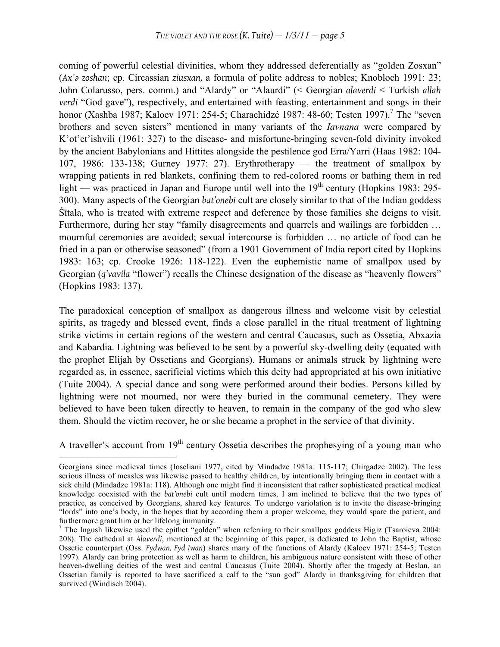coming of powerful celestial divinities, whom they addressed deferentially as "golden Zosxan" (*Ax´ə zosħan*; cp. Circassian *ziusxan,* a formula of polite address to nobles; Knobloch 1991: 23; John Colarusso, pers. comm.) and "Alardy" or "Alaurdi" (< Georgian *alaverdi* < Turkish *allah verdi* "God gave"), respectively, and entertained with feasting, entertainment and songs in their honor (Xashba 1987; Kaloev 1971: 254-5; Charachidzé 1987: 48-60; Testen 1997).<sup>7</sup> The "seven brothers and seven sisters" mentioned in many variants of the *Iavnana* were compared by K'ot'et'ishvili (1961: 327) to the disease- and misfortune-bringing seven-fold divinity invoked by the ancient Babylonians and Hittites alongside the pestilence god Erra/Yarri (Haas 1982: 104- 107, 1986: 133-138; Gurney 1977: 27). Erythrotherapy — the treatment of smallpox by wrapping patients in red blankets, confining them to red-colored rooms or bathing them in red light — was practiced in Japan and Europe until well into the  $19<sup>th</sup>$  century (Hopkins 1983: 295-300). Many aspects of the Georgian *bat'onebi* cult are closely similar to that of the Indian goddess Śītala, who is treated with extreme respect and deference by those families she deigns to visit. Furthermore, during her stay "family disagreements and quarrels and wailings are forbidden ... mournful ceremonies are avoided; sexual intercourse is forbidden … no article of food can be fried in a pan or otherwise seasoned" (from a 1901 Government of India report cited by Hopkins 1983: 163; cp. Crooke 1926: 118-122). Even the euphemistic name of smallpox used by Georgian (*q'vavila* "flower") recalls the Chinese designation of the disease as "heavenly flowers" (Hopkins 1983: 137).

The paradoxical conception of smallpox as dangerous illness and welcome visit by celestial spirits, as tragedy and blessed event, finds a close parallel in the ritual treatment of lightning strike victims in certain regions of the western and central Caucasus, such as Ossetia, Abxazia and Kabardia. Lightning was believed to be sent by a powerful sky-dwelling deity (equated with the prophet Elijah by Ossetians and Georgians). Humans or animals struck by lightning were regarded as, in essence, sacrificial victims which this deity had appropriated at his own initiative (Tuite 2004). A special dance and song were performed around their bodies. Persons killed by lightning were not mourned, nor were they buried in the communal cemetery. They were believed to have been taken directly to heaven, to remain in the company of the god who slew them. Should the victim recover, he or she became a prophet in the service of that divinity.

A traveller's account from  $19<sup>th</sup>$  century Ossetia describes the prophesying of a young man who

Georgians since medieval times (Ioseliani 1977, cited by Mindadze 1981a: 115-117; Chirgadze 2002). The less serious illness of measles was likewise passed to healthy children, by intentionally bringing them in contact with a sick child (Mindadze 1981a: 118). Although one might find it inconsistent that rather sophisticated practical medical knowledge coexisted with the *bat'onebi* cult until modern times, I am inclined to believe that the two types of practice, as conceived by Georgians, shared key features. To undergo variolation is to invite the disease-bringing "lords" into one's body, in the hopes that by according them a proper welcome, they would spare the patient, and furthermore grant him or her lifelong immunity.

 $7$  The Ingush likewise used the epithet "golden" when referring to their smallpox goddess Higiz (Tsaroieva 2004: 208). The cathedral at *Alaverdi*, mentioned at the beginning of this paper, is dedicated to John the Baptist, whose Ossetic counterpart (Oss. *Fydwan, Fyd Iwan*) shares many of the functions of Alardy (Kaloev 1971: 254-5; Testen 1997). Alardy can bring protection as well as harm to children, his ambiguous nature consistent with those of other heaven-dwelling deities of the west and central Caucasus (Tuite 2004). Shortly after the tragedy at Beslan, an Ossetian family is reported to have sacrificed a calf to the "sun god" Alardy in thanksgiving for children that survived (Windisch 2004).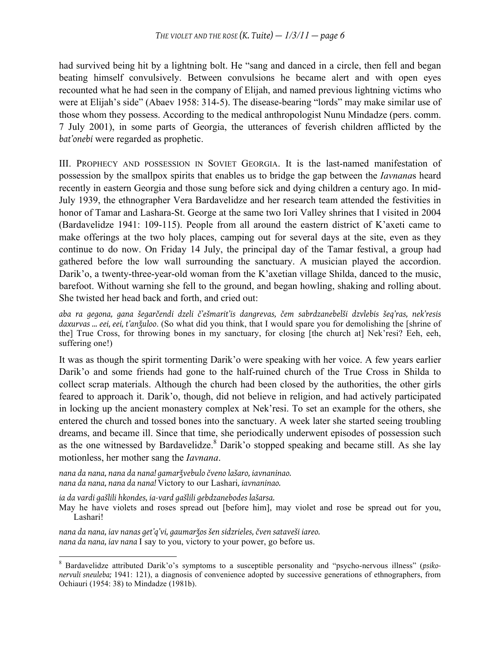had survived being hit by a lightning bolt. He "sang and danced in a circle, then fell and began beating himself convulsively. Between convulsions he became alert and with open eyes recounted what he had seen in the company of Elijah, and named previous lightning victims who were at Elijah's side" (Abaev 1958: 314-5). The disease-bearing "lords" may make similar use of those whom they possess. According to the medical anthropologist Nunu Mindadze (pers. comm. 7 July 2001), in some parts of Georgia, the utterances of feverish children afflicted by the *bat'onebi* were regarded as prophetic.

III. PROPHECY AND POSSESSION IN SOVIET GEORGIA. It is the last-named manifestation of possession by the smallpox spirits that enables us to bridge the gap between the *Iavnana*s heard recently in eastern Georgia and those sung before sick and dying children a century ago. In mid-July 1939, the ethnographer Vera Bardavelidze and her research team attended the festivities in honor of Tamar and Lashara-St. George at the same two Iori Valley shrines that I visited in 2004 (Bardavelidze 1941: 109-115). People from all around the eastern district of K'axeti came to make offerings at the two holy places, camping out for several days at the site, even as they continue to do now. On Friday 14 July, the principal day of the Tamar festival, a group had gathered before the low wall surrounding the sanctuary. A musician played the accordion. Darik'o, a twenty-three-year-old woman from the K'axetian village Shilda, danced to the music, barefoot. Without warning she fell to the ground, and began howling, shaking and rolling about. She twisted her head back and forth, and cried out:

*aba ra gegona, gana šegarčendi dzeli č'ešmarit'is dangrevas, čem sabrdzanebelši dzvlebis šeq'ras, nek'resis daxurvas ... eei, eei, t'anǯuloo*. (So what did you think, that I would spare you for demolishing the [shrine of the] True Cross, for throwing bones in my sanctuary, for closing [the church at] Nek'resi? Eeh, eeh, suffering one!)

It was as though the spirit tormenting Darik'o were speaking with her voice. A few years earlier Darik'o and some friends had gone to the half-ruined church of the True Cross in Shilda to collect scrap materials. Although the church had been closed by the authorities, the other girls feared to approach it. Darik'o, though, did not believe in religion, and had actively participated in locking up the ancient monastery complex at Nek'resi. To set an example for the others, she entered the church and tossed bones into the sanctuary. A week later she started seeing troubling dreams, and became ill. Since that time, she periodically underwent episodes of possession such as the one witnessed by Bardavelidze. $8$  Darik'o stopped speaking and became still. As she lay motionless, her mother sang the *Iavnana*.

*nana da nana, nana da nana! gamarǯvebulo čveno lašaro, iavnaninao. nana da nana, nana da nana!* Victory to our Lashari*, iavnaninao.*

*ia da vardi gašlili hkondes, ia-vard gašlili gebdzanebodes lašarsa.*

May he have violets and roses spread out [before him], may violet and rose be spread out for you, Lashari!

*nana da nana, iav nanas get'q'vi, gaumarǯos šen sidzrieles, čven sataveši iareo. nana da nana, iav nana* I say to you, victory to your power, go before us.

 <sup>8</sup> Bardavelidze attributed Darik'o's symptoms to a susceptible personality and "psycho-nervous illness" (*psikonervuli sneuleba;* 1941: 121), a diagnosis of convenience adopted by successive generations of ethnographers, from Ochiauri (1954: 38) to Mindadze (1981b).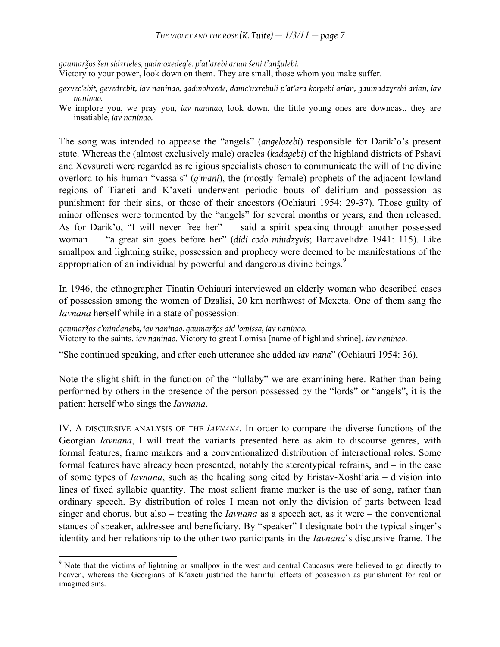# *THE VIOLET AND THE ROSE*  $(K. \text{Tuite}) - \frac{1}{3}/11 - \text{page 7}$

*gaumarǯos šen sidzrieles, gadmoxedeq'e. p'at'arebi arian šeni t'anǯulebi.*

Victory to your power, look down on them. They are small, those whom you make suffer.

- *gexvec'ebit, gevedrebit, iav naninao, gadmohxede, damc'uxrebuli p'at'ara korpebi arian, gaumadzɣrebi arian, iav naninao.*
- We implore you, we pray you, *iav naninao,* look down, the little young ones are downcast, they are insatiable*, iav naninao.*

The song was intended to appease the "angels" (*angelozebi*) responsible for Darik'o's present state. Whereas the (almost exclusively male) oracles (*kadagebi*) of the highland districts of Pshavi and Xevsureti were regarded as religious specialists chosen to communicate the will of the divine overlord to his human "vassals" (*q'mani*), the (mostly female) prophets of the adjacent lowland regions of Tianeti and K'axeti underwent periodic bouts of delirium and possession as punishment for their sins, or those of their ancestors (Ochiauri 1954: 29-37). Those guilty of minor offenses were tormented by the "angels" for several months or years, and then released. As for Darik'o, "I will never free her" — said a spirit speaking through another possessed woman — "a great sin goes before her" (*didi codo miudzɣvis*; Bardavelidze 1941: 115). Like smallpox and lightning strike, possession and prophecy were deemed to be manifestations of the appropriation of an individual by powerful and dangerous divine beings.<sup>9</sup>

In 1946, the ethnographer Tinatin Ochiauri interviewed an elderly woman who described cases of possession among the women of Dzalisi, 20 km northwest of Mcxeta. One of them sang the *Iavnana* herself while in a state of possession:

*gaumarǯos c'mindanebs, iav naninao. gaumarǯos did lomissa, iav naninao.*

Victory to the saints, *iav naninao*. Victory to great Lomisa [name of highland shrine], *iav naninao*.

"She continued speaking, and after each utterance she added *iav-nana*" (Ochiauri 1954: 36).

Note the slight shift in the function of the "lullaby" we are examining here. Rather than being performed by others in the presence of the person possessed by the "lords" or "angels", it is the patient herself who sings the *Iavnana*.

IV. A DISCURSIVE ANALYSIS OF THE *IAVNANA*. In order to compare the diverse functions of the Georgian *Iavnana*, I will treat the variants presented here as akin to discourse genres, with formal features, frame markers and a conventionalized distribution of interactional roles. Some formal features have already been presented, notably the stereotypical refrains, and – in the case of some types of *Iavnana*, such as the healing song cited by Eristav-Xosht'aria – division into lines of fixed syllabic quantity. The most salient frame marker is the use of song, rather than ordinary speech. By distribution of roles I mean not only the division of parts between lead singer and chorus, but also – treating the *Iavnana* as a speech act, as it were – the conventional stances of speaker, addressee and beneficiary. By "speaker" I designate both the typical singer's identity and her relationship to the other two participants in the *Iavnana*'s discursive frame. The

<sup>-&</sup>lt;br>9 <sup>9</sup> Note that the victims of lightning or smallpox in the west and central Caucasus were believed to go directly to heaven, whereas the Georgians of K'axeti justified the harmful effects of possession as punishment for real or imagined sins.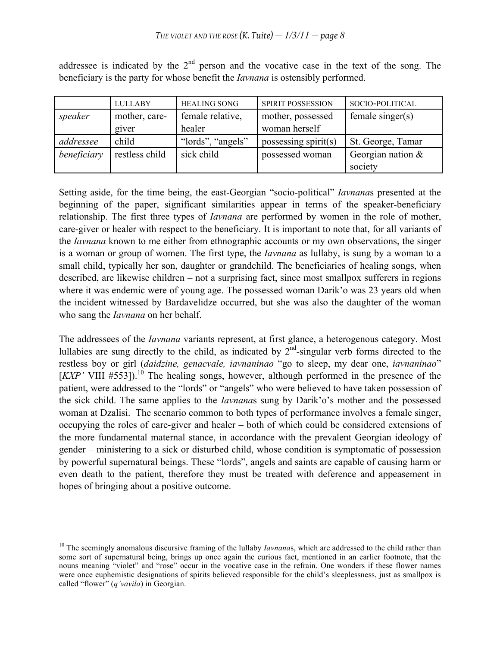|             | <b>LULLABY</b> | <b>HEALING SONG</b> | SPIRIT POSSESSION    | SOCIO-POLITICAL     |
|-------------|----------------|---------------------|----------------------|---------------------|
| speaker     | mother, care-  | female relative,    | mother, possessed    | female singer $(s)$ |
|             | giver          | healer              | woman herself        |                     |
| addressee   | child          | "lords", "angels"   | possessing spirit(s) | St. George, Tamar   |
| beneficiary | restless child | sick child          | possessed woman      | Georgian nation $&$ |
|             |                |                     |                      | society             |

addressee is indicated by the  $2<sup>nd</sup>$  person and the vocative case in the text of the song. The beneficiary is the party for whose benefit the *Iavnana* is ostensibly performed.

Setting aside, for the time being, the east-Georgian "socio-political" *Iavnana*s presented at the beginning of the paper, significant similarities appear in terms of the speaker-beneficiary relationship. The first three types of *Iavnana* are performed by women in the role of mother, care-giver or healer with respect to the beneficiary. It is important to note that, for all variants of the *Iavnana* known to me either from ethnographic accounts or my own observations, the singer is a woman or group of women. The first type, the *Iavnana* as lullaby, is sung by a woman to a small child, typically her son, daughter or grandchild. The beneficiaries of healing songs, when described, are likewise children – not a surprising fact, since most smallpox sufferers in regions where it was endemic were of young age. The possessed woman Darik'o was 23 years old when the incident witnessed by Bardavelidze occurred, but she was also the daughter of the woman who sang the *Iavnana* on her behalf.

The addressees of the *Iavnana* variants represent, at first glance, a heterogenous category. Most lullabies are sung directly to the child, as indicated by  $2<sup>nd</sup>$ -singular verb forms directed to the restless boy or girl (*daidzine, genacvale, iavnaninao* "go to sleep, my dear one, *iavnaninao*"  $[KXP'$  VIII  $#553$ ]).<sup>10</sup> The healing songs, however, although performed in the presence of the patient, were addressed to the "lords" or "angels" who were believed to have taken possession of the sick child. The same applies to the *Iavnana*s sung by Darik'o's mother and the possessed woman at Dzalisi. The scenario common to both types of performance involves a female singer, occupying the roles of care-giver and healer – both of which could be considered extensions of the more fundamental maternal stance, in accordance with the prevalent Georgian ideology of gender – ministering to a sick or disturbed child, whose condition is symptomatic of possession by powerful supernatural beings. These "lords", angels and saints are capable of causing harm or even death to the patient, therefore they must be treated with deference and appeasement in hopes of bringing about a positive outcome.

<sup>&</sup>lt;sup>10</sup> The seemingly anomalous discursive framing of the lullaby *Iavnanas*, which are addressed to the child rather than some sort of supernatural being, brings up once again the curious fact, mentioned in an earlier footnote, that the nouns meaning "violet" and "rose" occur in the vocative case in the refrain. One wonders if these flower names were once euphemistic designations of spirits believed responsible for the child's sleeplessness, just as smallpox is called "flower" (*q'vavila*) in Georgian.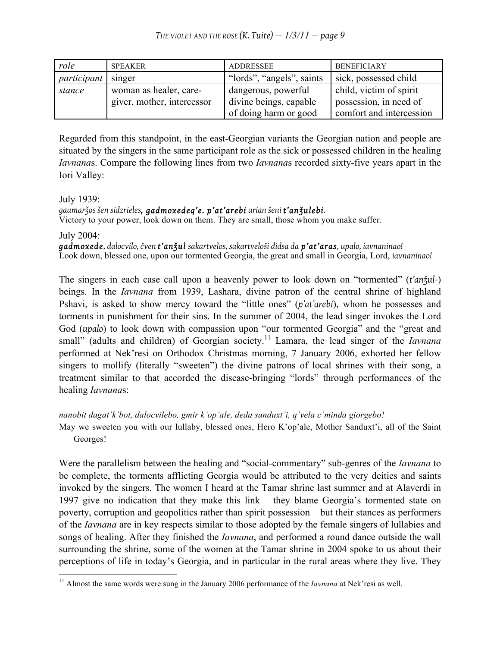| role               | <b>SPEAKER</b>                                       | <b>ADDRESSEE</b>                              | <b>BENEFICIARY</b>                                |
|--------------------|------------------------------------------------------|-----------------------------------------------|---------------------------------------------------|
| <i>participant</i> | singer                                               | "lords", "angels", saints                     | sick, possessed child                             |
| stance             | woman as healer, care-<br>giver, mother, intercessor | dangerous, powerful<br>divine beings, capable | child, victim of spirit<br>possession, in need of |
|                    |                                                      | of doing harm or good                         | comfort and intercession                          |

Regarded from this standpoint, in the east-Georgian variants the Georgian nation and people are situated by the singers in the same participant role as the sick or possessed children in the healing *Iavnana*s. Compare the following lines from two *Iavnana*s recorded sixty-five years apart in the Iori Valley:

July 1939:

*gaumarǯos šen sidzrieles, gadmoxedeq'e. p'at'arebi arian šeni t'anǯulebi.*

Victory to your power, look down on them. They are small, those whom you make suffer.

July 2004:

*gadmoxede, dalocvilo, čven t'anǯul sakartvelos, sakartveloši didsa da p'at'aras, upalo, iavnaninao!* Look down, blessed one, upon our tormented Georgia, the great and small in Georgia, Lord, *iavnaninao!*

The singers in each case call upon a heavenly power to look down on "tormented" (*t'anǯul-*) beings. In the *Iavnana* from 1939, Lashara, divine patron of the central shrine of highland Pshavi, is asked to show mercy toward the "little ones" (*p'at'arebi*), whom he possesses and torments in punishment for their sins. In the summer of 2004, the lead singer invokes the Lord God (*upalo*) to look down with compassion upon "our tormented Georgia" and the "great and small" (adults and children) of Georgian society.<sup>11</sup> Lamara, the lead singer of the *Iavnana* performed at Nek'resi on Orthodox Christmas morning, 7 January 2006, exhorted her fellow singers to mollify (literally "sweeten") the divine patrons of local shrines with their song, a treatment similar to that accorded the disease-bringing "lords" through performances of the healing *Iavnana*s:

*nanobit dagat'k'bot, dalocvilebo, gmir k'op'ale, deda sanduxt'i, q'vela c'minda giorgebo!*

May we sweeten you with our lullaby, blessed ones, Hero K'op'ale, Mother Sanduxt'i, all of the Saint Georges!

Were the parallelism between the healing and "social-commentary" sub-genres of the *Iavnana* to be complete, the torments afflicting Georgia would be attributed to the very deities and saints invoked by the singers. The women I heard at the Tamar shrine last summer and at Alaverdi in 1997 give no indication that they make this link – they blame Georgia's tormented state on poverty, corruption and geopolitics rather than spirit possession – but their stances as performers of the *Iavnana* are in key respects similar to those adopted by the female singers of lullabies and songs of healing. After they finished the *Iavnana*, and performed a round dance outside the wall surrounding the shrine, some of the women at the Tamar shrine in 2004 spoke to us about their perceptions of life in today's Georgia, and in particular in the rural areas where they live. They

<sup>&</sup>lt;sup>11</sup> Almost the same words were sung in the January 2006 performance of the *Iavnana* at Nek'resi as well.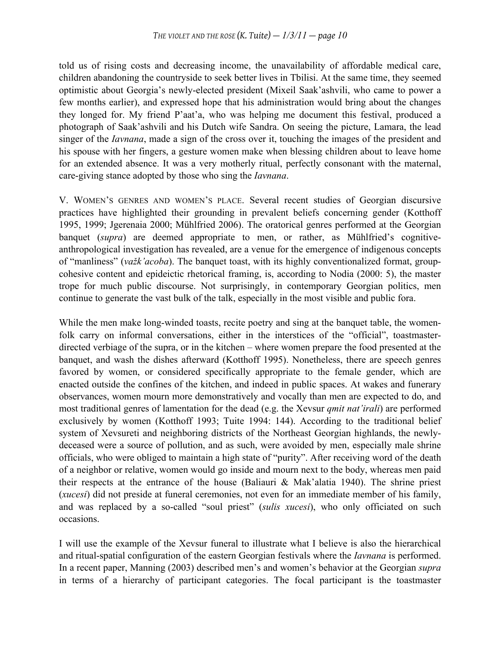told us of rising costs and decreasing income, the unavailability of affordable medical care, children abandoning the countryside to seek better lives in Tbilisi. At the same time, they seemed optimistic about Georgia's newly-elected president (Mixeil Saak'ashvili, who came to power a few months earlier), and expressed hope that his administration would bring about the changes they longed for. My friend P'aat'a, who was helping me document this festival, produced a photograph of Saak'ashvili and his Dutch wife Sandra. On seeing the picture, Lamara, the lead singer of the *Iavnana*, made a sign of the cross over it, touching the images of the president and his spouse with her fingers, a gesture women make when blessing children about to leave home for an extended absence. It was a very motherly ritual, perfectly consonant with the maternal, care-giving stance adopted by those who sing the *Iavnana*.

V. WOMEN'S GENRES AND WOMEN'S PLACE. Several recent studies of Georgian discursive practices have highlighted their grounding in prevalent beliefs concerning gender (Kotthoff 1995, 1999; Jgerenaia 2000; Mühlfried 2006). The oratorical genres performed at the Georgian banquet (*supra*) are deemed appropriate to men, or rather, as Mühlfried's cognitiveanthropological investigation has revealed, are a venue for the emergence of indigenous concepts of "manliness" (*važk'acoba*). The banquet toast, with its highly conventionalized format, groupcohesive content and epideictic rhetorical framing, is, according to Nodia (2000: 5), the master trope for much public discourse. Not surprisingly, in contemporary Georgian politics, men continue to generate the vast bulk of the talk, especially in the most visible and public fora.

While the men make long-winded toasts, recite poetry and sing at the banquet table, the womenfolk carry on informal conversations, either in the interstices of the "official", toastmasterdirected verbiage of the supra, or in the kitchen – where women prepare the food presented at the banquet, and wash the dishes afterward (Kotthoff 1995). Nonetheless, there are speech genres favored by women, or considered specifically appropriate to the female gender, which are enacted outside the confines of the kitchen, and indeed in public spaces. At wakes and funerary observances, women mourn more demonstratively and vocally than men are expected to do, and most traditional genres of lamentation for the dead (e.g. the Xevsur *qmit nat'irali*) are performed exclusively by women (Kotthoff 1993; Tuite 1994: 144). According to the traditional belief system of Xevsureti and neighboring districts of the Northeast Georgian highlands, the newlydeceased were a source of pollution, and as such, were avoided by men, especially male shrine officials, who were obliged to maintain a high state of "purity". After receiving word of the death of a neighbor or relative, women would go inside and mourn next to the body, whereas men paid their respects at the entrance of the house (Baliauri & Mak'alatia 1940). The shrine priest (*xucesi*) did not preside at funeral ceremonies, not even for an immediate member of his family, and was replaced by a so-called "soul priest" (*sulis xucesi*), who only officiated on such occasions.

I will use the example of the Xevsur funeral to illustrate what I believe is also the hierarchical and ritual-spatial configuration of the eastern Georgian festivals where the *Iavnana* is performed. In a recent paper, Manning (2003) described men's and women's behavior at the Georgian *supra* in terms of a hierarchy of participant categories. The focal participant is the toastmaster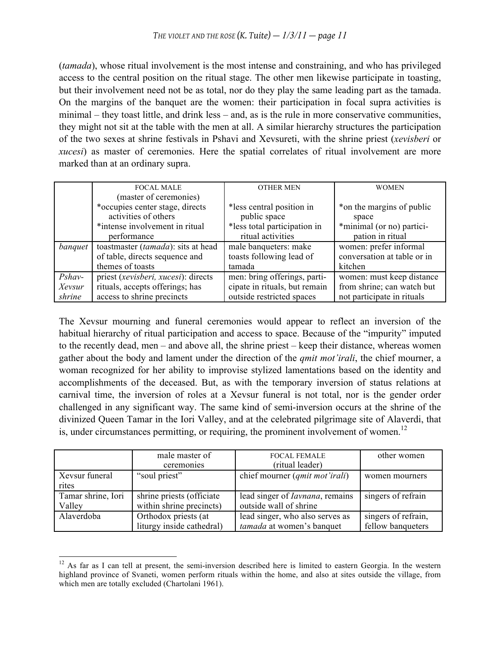(*tamada*), whose ritual involvement is the most intense and constraining, and who has privileged access to the central position on the ritual stage. The other men likewise participate in toasting, but their involvement need not be as total, nor do they play the same leading part as the tamada. On the margins of the banquet are the women: their participation in focal supra activities is minimal – they toast little, and drink less – and, as is the rule in more conservative communities, they might not sit at the table with the men at all. A similar hierarchy structures the participation of the two sexes at shrine festivals in Pshavi and Xevsureti, with the shrine priest (*xevisberi* or *xucesi*) as master of ceremonies. Here the spatial correlates of ritual involvement are more marked than at an ordinary supra.

|          | <b>FOCAL MALE</b>                   | <b>OTHER MEN</b>              | <b>WOMEN</b>                |
|----------|-------------------------------------|-------------------------------|-----------------------------|
|          | (master of ceremonies)              |                               |                             |
|          | *occupies center stage, directs     | *less central position in     | *on the margins of public   |
|          | activities of others                | public space                  | space                       |
|          | *intense involvement in ritual      | *less total participation in  | *minimal (or no) partici-   |
|          | performance                         | ritual activities             | pation in ritual            |
| banquet  | toastmaster (tamada): sits at head  | male banqueters: make         | women: prefer informal      |
|          | of table, directs sequence and      | toasts following lead of      | conversation at table or in |
|          | themes of toasts                    | tamada                        | kitchen                     |
| $Pshav-$ | priest (xevisberi, xucesi): directs | men: bring offerings, parti-  | women: must keep distance   |
| Xevsur   | rituals, accepts offerings; has     | cipate in rituals, but remain | from shrine; can watch but  |
| shrine   | access to shrine precincts          | outside restricted spaces     | not participate in rituals  |

The Xevsur mourning and funeral ceremonies would appear to reflect an inversion of the habitual hierarchy of ritual participation and access to space. Because of the "impurity" imputed to the recently dead, men – and above all, the shrine priest – keep their distance, whereas women gather about the body and lament under the direction of the *qmit mot'irali*, the chief mourner, a woman recognized for her ability to improvise stylized lamentations based on the identity and accomplishments of the deceased. But, as with the temporary inversion of status relations at carnival time, the inversion of roles at a Xevsur funeral is not total, nor is the gender order challenged in any significant way. The same kind of semi-inversion occurs at the shrine of the divinized Queen Tamar in the Iori Valley, and at the celebrated pilgrimage site of Alaverdi, that is, under circumstances permitting, or requiring, the prominent involvement of women.<sup>12</sup>

|                         | male master of<br>ceremonies | <b>FOCAL FEMALE</b><br>(ritual leader)  | other women         |
|-------------------------|------------------------------|-----------------------------------------|---------------------|
| Xevsur funeral<br>rites | "soul priest"                | chief mourner ( <i>qmit mot'irali</i> ) | women mourners      |
| Tamar shrine, Iori      | shrine priests (officiate    | lead singer of <i>Iavnana</i> , remains | singers of refrain  |
| Valley                  | within shrine precincts)     | outside wall of shrine                  |                     |
| Alaverdoba              | Orthodox priests (at         | lead singer, who also serves as         | singers of refrain, |
|                         | liturgy inside cathedral)    | tamada at women's banquet               | fellow banqueters   |

 $12$  As far as I can tell at present, the semi-inversion described here is limited to eastern Georgia. In the western highland province of Svaneti, women perform rituals within the home, and also at sites outside the village, from which men are totally excluded (Chartolani 1961).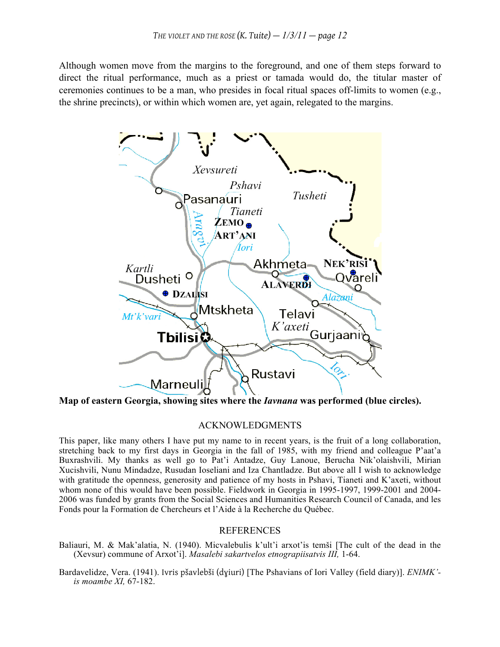Although women move from the margins to the foreground, and one of them steps forward to direct the ritual performance, much as a priest or tamada would do, the titular master of ceremonies continues to be a man, who presides in focal ritual spaces off-limits to women (e.g., the shrine precincts), or within which women are, yet again, relegated to the margins.



**Map of eastern Georgia, showing sites where the** *Iavnana* **was performed (blue circles).**

#### ACKNOWLEDGMENTS

This paper, like many others I have put my name to in recent years, is the fruit of a long collaboration, stretching back to my first days in Georgia in the fall of 1985, with my friend and colleague P'aat'a Buxrashvili. My thanks as well go to Pat'i Antadze, Guy Lanoue, Berucha Nik'olaishvili, Mirian Xucishvili, Nunu Mindadze, Rusudan Ioseliani and Iza Chantladze. But above all I wish to acknowledge with gratitude the openness, generosity and patience of my hosts in Pshavi, Tianeti and K'axeti, without whom none of this would have been possible. Fieldwork in Georgia in 1995-1997, 1999-2001 and 2004- 2006 was funded by grants from the Social Sciences and Humanities Research Council of Canada, and les Fonds pour la Formation de Chercheurs et l'Aide à la Recherche du Québec.

### **REFERENCES**

- Baliauri, M. & Mak'alatia, N. (1940). Micvalebulis k'ult'i arxot'is temši [The cult of the dead in the (Xevsur) commune of Arxot'i]. *Masalebi sakartvelos etnograpiisatvis III,* 1-64.
- Bardavelidze, Vera. (1941). Ivris pšavlebši (dɣiuri) [The Pshavians of Iori Valley (field diary)]. *ENIMK' is moambe XI,* 67-182.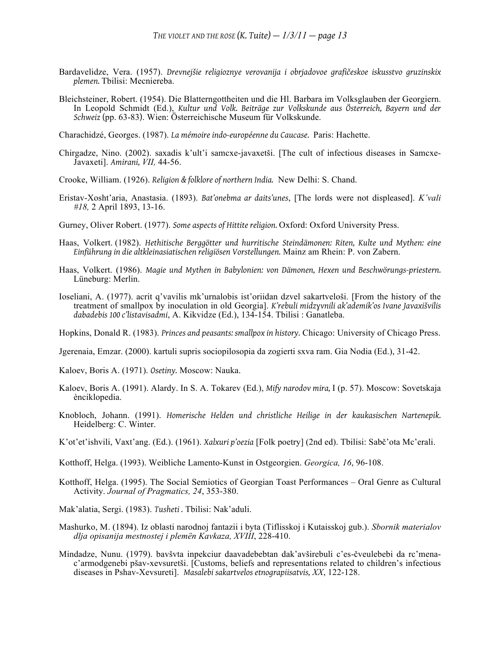- Bardavelidze, Vera. (1957). *Drevnejšie religioznye verovanija i obrjadovoe grafičeskoe iskusstvo gruzinskix plemen.* Tbilisi: Mecniereba.
- Bleichsteiner, Robert. (1954). Die Blatterngottheiten und die Hl. Barbara im Volksglauben der Georgiern. In Leopold Schmidt (Ed.), *Kultur und Volk. Beiträge zur Volkskunde aus Österreich, Bayern und der Schweiz* (pp. 63-83). Wien: Österreichische Museum für Volkskunde.

Charachidzé, Georges. (1987). *La mémoire indo-européenne du Caucase.* Paris: Hachette.

- Chirgadze, Nino. (2002). saxadis k'ult'i samcxe-javaxetši. [The cult of infectious diseases in Samcxe-Javaxeti]. *Amirani, VII,* 44-56.
- Crooke, William. (1926). *Religion & folklore of northern India.* New Delhi: S. Chand.
- Eristav-Xosht'aria, Anastasia. (1893). *Bat'onebma ar daits'unes*, [The lords were not displeased]. *K'vali #18,* 2 April 1893, 13-16.
- Gurney, Oliver Robert. (1977). *Some aspects of Hittite religion.* Oxford: Oxford University Press.
- Haas, Volkert. (1982). *Hethitische Berggötter und hurritische Steindämonen: Riten, Kulte und Mythen: eine Einführung in die altkleinasiatischen religiösen Vorstellungen.* Mainz am Rhein: P. von Zabern.
- Haas, Volkert. (1986). *Magie und Mythen in Babylonien: von Dämonen, Hexen und Beschwörungs-priestern.* Lüneburg: Merlin.
- Ioseliani, A. (1977). acrit q'vavilis mk'urnalobis ist'oriidan dzvel sakartveloši. [From the history of the treatment of smallpox by inoculation in old Georgia]. *K'rebuli midzɣvnili ak'ademik'os Ivane Javaxišvilis dabadebis 100 c'listavisadmi*, A. Kikvidze (Ed.), 134-154. Tbilisi : Ganatleba.

Hopkins, Donald R. (1983). *Princes and peasants: smallpox in history.* Chicago: University of Chicago Press.

- Jgerenaia, Emzar. (2000). kartuli supris sociopilosopia da zogierti sxva ram. Gia Nodia (Ed.), 31-42.
- Kaloev, Boris A. (1971). *Osetiny.* Moscow: Nauka.
- Kaloev, Boris A. (1991). Alardy. In S. A. Tokarev (Ed.), *Mify narodov mira,* I (p. 57). Moscow: Sovetskaja ènciklopedia.
- Knobloch, Johann. (1991). *Homerische Helden und christliche Heilige in der kaukasischen Nartenepik.* Heidelberg: C. Winter.
- K'ot'et'ishvili, Vaxt'ang. (Ed.). (1961). *Xalxuri p'oezia* [Folk poetry] (2nd ed). Tbilisi: Sabč'ota Mc'erali.

Kotthoff, Helga. (1993). Weibliche Lamento-Kunst in Ostgeorgien. *Georgica, 16*, 96-108.

- Kotthoff, Helga. (1995). The Social Semiotics of Georgian Toast Performances Oral Genre as Cultural Activity. *Journal of Pragmatics, 24*, 353-380.
- Mak'alatia, Sergi. (1983). *Tusheti .* Tbilisi: Nak'aduli.
- Mashurko, M. (1894). Iz oblasti narodnoj fantazii i byta (Tiflisskoj i Kutaisskoj gub.). *Sbornik materialov dlja opisanija mestnostej i plemën Kavkaza, XVIII*, 228-410.
- Mindadze, Nunu. (1979). bavšvta inpekciur daavadebebtan dak'avširebuli c'es-čveulebebi da rc'menac'armodgenebi pšav-xevsuretši. [Customs, beliefs and representations related to children's infectious diseases in Pshav-Xevsureti]. *Masalebi sakartvelos etnograpiisatvis, XX*, 122-128.